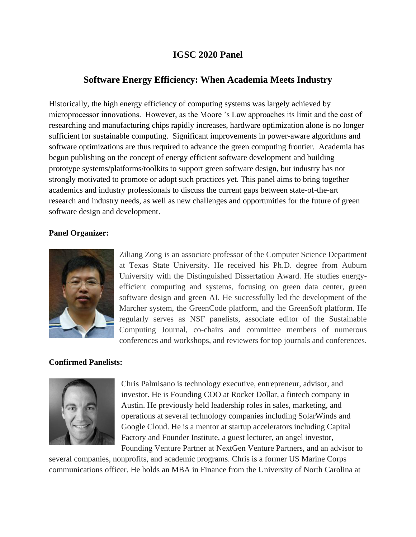## **IGSC 2020 Panel**

## **Software Energy Efficiency: When Academia Meets Industry**

Historically, the high energy efficiency of computing systems was largely achieved by microprocessor innovations. However, as the Moore 's Law approaches its limit and the cost of researching and manufacturing chips rapidly increases, hardware optimization alone is no longer sufficient for sustainable computing. Significant improvements in power-aware algorithms and software optimizations are thus required to advance the green computing frontier. Academia has begun publishing on the concept of energy efficient software development and building prototype systems/platforms/toolkits to support green software design, but industry has not strongly motivated to promote or adopt such practices yet. This panel aims to bring together academics and industry professionals to discuss the current gaps between state-of-the-art research and industry needs, as well as new challenges and opportunities for the future of green software design and development.

## **Panel Organizer:**



Ziliang Zong is an associate professor of the Computer Science Department at Texas State University. He received his Ph.D. degree from Auburn University with the Distinguished Dissertation Award. He studies energyefficient computing and systems, focusing on green data center, green software design and green AI. He successfully led the development of the Marcher system, the GreenCode platform, and the GreenSoft platform. He regularly serves as NSF panelists, associate editor of the Sustainable Computing Journal, co-chairs and committee members of numerous conferences and workshops, and reviewers for top journals and conferences.

## **Confirmed Panelists:**



Chris Palmisano is technology executive, entrepreneur, advisor, and investor. He is Founding COO at Rocket Dollar, a fintech company in Austin. He previously held leadership roles in sales, marketing, and operations at several technology companies including SolarWinds and Google Cloud. He is a mentor at startup accelerators including Capital Factory and Founder Institute, a guest lecturer, an angel investor, Founding Venture Partner at NextGen Venture Partners, and an advisor to

several companies, nonprofits, and academic programs. Chris is a former US Marine Corps communications officer. He holds an MBA in Finance from the University of North Carolina at